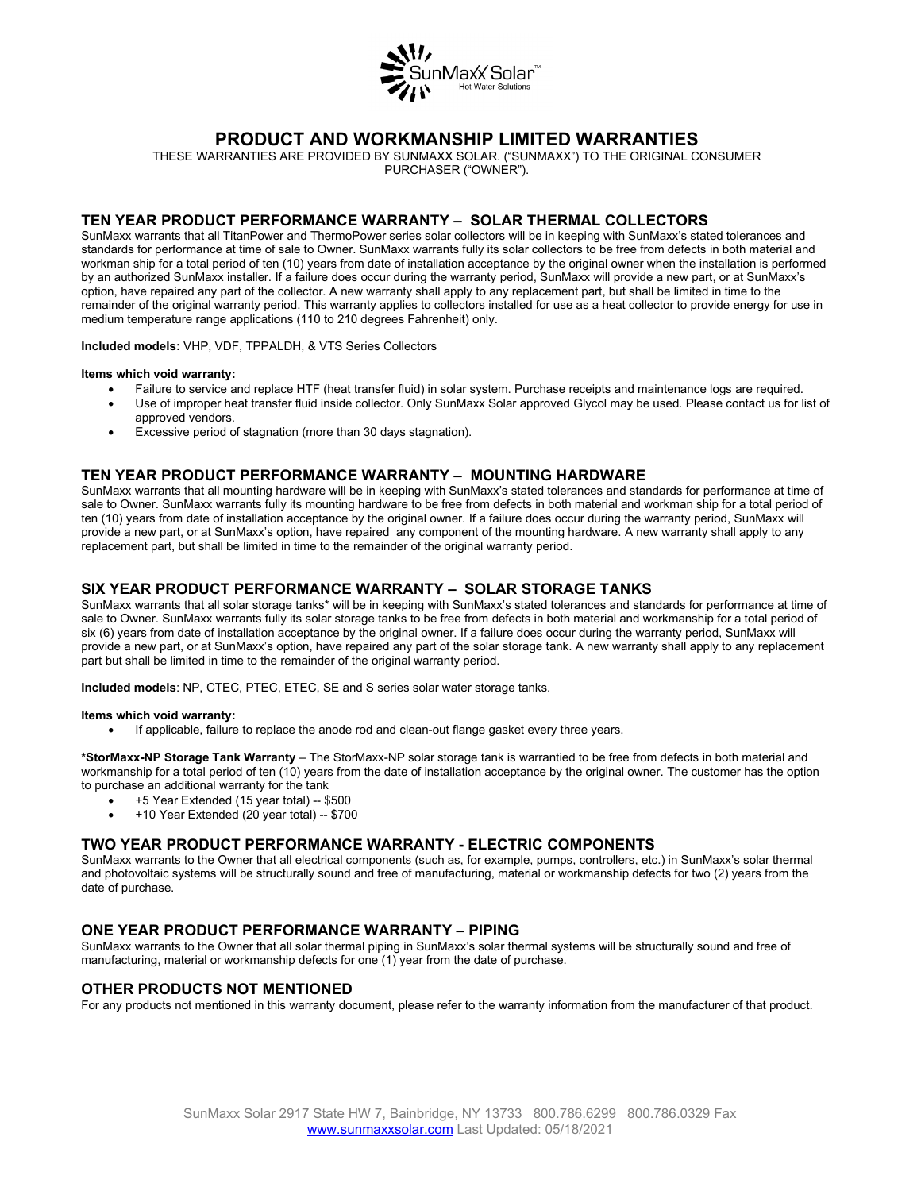

# **PRODUCT AND WORKMANSHIP LIMITED WARRANTIES**

THESE WARRANTIES ARE PROVIDED BY SUNMAXX SOLAR. ("SUNMAXX") TO THE ORIGINAL CONSUMER PURCHASER ("OWNER").

## **TEN YEAR PRODUCT PERFORMANCE WARRANTY – SOLAR THERMAL COLLECTORS**

SunMaxx warrants that all TitanPower and ThermoPower series solar collectors will be in keeping with SunMaxx's stated tolerances and standards for performance at time of sale to Owner. SunMaxx warrants fully its solar collectors to be free from defects in both material and workman ship for a total period of ten (10) years from date of installation acceptance by the original owner when the installation is performed by an authorized SunMaxx installer. If a failure does occur during the warranty period, SunMaxx will provide a new part, or at SunMaxx's option, have repaired any part of the collector. A new warranty shall apply to any replacement part, but shall be limited in time to the remainder of the original warranty period. This warranty applies to collectors installed for use as a heat collector to provide energy for use in medium temperature range applications (110 to 210 degrees Fahrenheit) only.

**Included models:** VHP, VDF, TPPALDH, & VTS Series Collectors

#### **Items which void warranty:**

- Failure to service and replace HTF (heat transfer fluid) in solar system. Purchase receipts and maintenance logs are required.
	- Use of improper heat transfer fluid inside collector. Only SunMaxx Solar approved Glycol may be used. Please contact us for list of approved vendors.
- Excessive period of stagnation (more than 30 days stagnation).

## **TEN YEAR PRODUCT PERFORMANCE WARRANTY – MOUNTING HARDWARE**

SunMaxx warrants that all mounting hardware will be in keeping with SunMaxx's stated tolerances and standards for performance at time of sale to Owner. SunMaxx warrants fully its mounting hardware to be free from defects in both material and workman ship for a total period of ten (10) years from date of installation acceptance by the original owner. If a failure does occur during the warranty period, SunMaxx will provide a new part, or at SunMaxx's option, have repaired any component of the mounting hardware. A new warranty shall apply to any replacement part, but shall be limited in time to the remainder of the original warranty period.

## **SIX YEAR PRODUCT PERFORMANCE WARRANTY – SOLAR STORAGE TANKS**

SunMaxx warrants that all solar storage tanks\* will be in keeping with SunMaxx's stated tolerances and standards for performance at time of sale to Owner. SunMaxx warrants fully its solar storage tanks to be free from defects in both material and workmanship for a total period of six (6) years from date of installation acceptance by the original owner. If a failure does occur during the warranty period, SunMaxx will provide a new part, or at SunMaxx's option, have repaired any part of the solar storage tank. A new warranty shall apply to any replacement part but shall be limited in time to the remainder of the original warranty period.

**Included models**: NP, CTEC, PTEC, ETEC, SE and S series solar water storage tanks.

#### **Items which void warranty:**

• If applicable, failure to replace the anode rod and clean-out flange gasket every three years.

**\*StorMaxx-NP Storage Tank Warranty** – The StorMaxx-NP solar storage tank is warrantied to be free from defects in both material and workmanship for a total period of ten (10) years from the date of installation acceptance by the original owner. The customer has the option to purchase an additional warranty for the tank

- $\bullet$  +5 Year Extended (15 year total) -- \$500
- +10 Year Extended (20 year total) -- \$700

### **TWO YEAR PRODUCT PERFORMANCE WARRANTY - ELECTRIC COMPONENTS**

SunMaxx warrants to the Owner that all electrical components (such as, for example, pumps, controllers, etc.) in SunMaxx's solar thermal and photovoltaic systems will be structurally sound and free of manufacturing, material or workmanship defects for two (2) years from the date of purchase.

## **ONE YEAR PRODUCT PERFORMANCE WARRANTY – PIPING**

SunMaxx warrants to the Owner that all solar thermal piping in SunMaxx's solar thermal systems will be structurally sound and free of manufacturing, material or workmanship defects for one (1) year from the date of purchase.

### **OTHER PRODUCTS NOT MENTIONED**

For any products not mentioned in this warranty document, please refer to the warranty information from the manufacturer of that product.